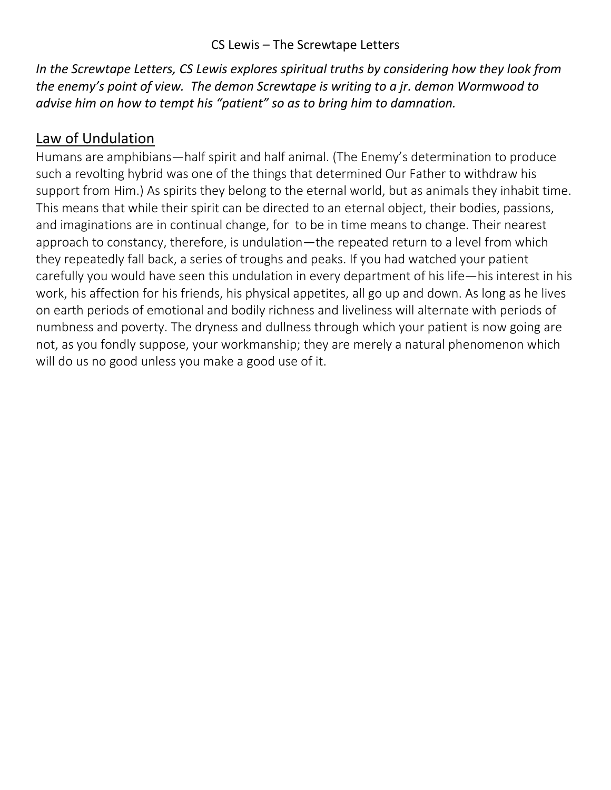## CS Lewis – The Screwtape Letters

*In the Screwtape Letters, CS Lewis explores spiritual truths by considering how they look from the enemy's point of view. The demon Screwtape is writing to a jr. demon Wormwood to advise him on how to tempt his "patient" so as to bring him to damnation.* 

## Law of Undulation

Humans are amphibians—half spirit and half animal. (The Enemy's determination to produce such a revolting hybrid was one of the things that determined Our Father to withdraw his support from Him.) As spirits they belong to the eternal world, but as animals they inhabit time. This means that while their spirit can be directed to an eternal object, their bodies, passions, and imaginations are in continual change, for to be in time means to change. Their nearest approach to constancy, therefore, is undulation—the repeated return to a level from which they repeatedly fall back, a series of troughs and peaks. If you had watched your patient carefully you would have seen this undulation in every department of his life—his interest in his work, his affection for his friends, his physical appetites, all go up and down. As long as he lives on earth periods of emotional and bodily richness and liveliness will alternate with periods of numbness and poverty. The dryness and dullness through which your patient is now going are not, as you fondly suppose, your workmanship; they are merely a natural phenomenon which will do us no good unless you make a good use of it.